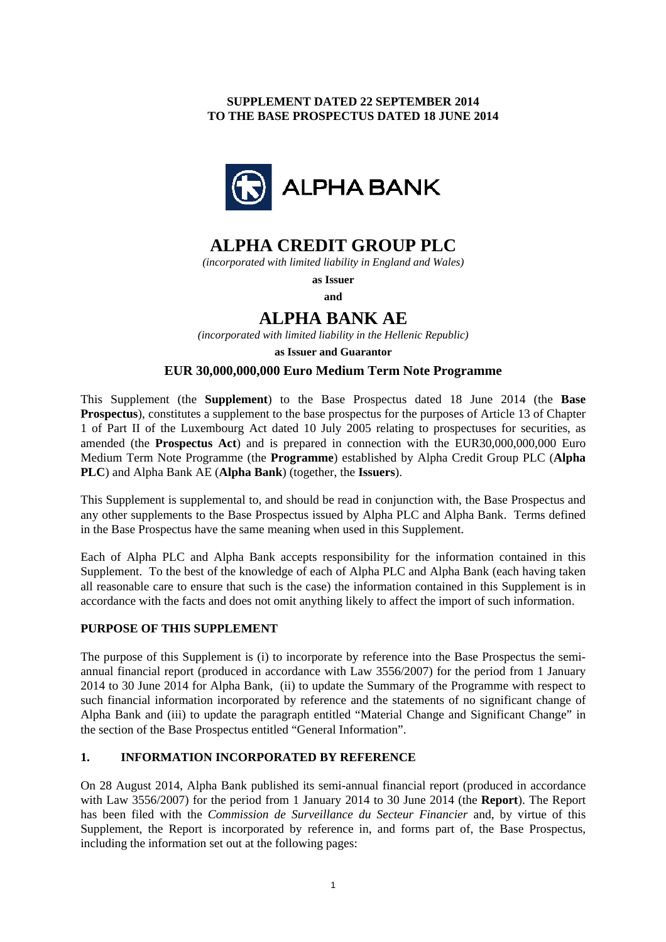# **SUPPLEMENT DATED 22 SEPTEMBER 2014 TO THE BASE PROSPECTUS DATED 18 JUNE 2014**



# **ALPHA CREDIT GROUP PLC**

*(incorporated with limited liability in England and Wales)*

**as Issuer** 

**and** 

# **ALPHA BANK AE**

*(incorporated with limited liability in the Hellenic Republic)* 

**as Issuer and Guarantor** 

# **EUR 30,000,000,000 Euro Medium Term Note Programme**

This Supplement (the **Supplement**) to the Base Prospectus dated 18 June 2014 (the **Base Prospectus**), constitutes a supplement to the base prospectus for the purposes of Article 13 of Chapter 1 of Part II of the Luxembourg Act dated 10 July 2005 relating to prospectuses for securities, as amended (the **Prospectus Act**) and is prepared in connection with the EUR30,000,000,000 Euro Medium Term Note Programme (the **Programme**) established by Alpha Credit Group PLC (**Alpha PLC**) and Alpha Bank AE (**Alpha Bank**) (together, the **Issuers**).

This Supplement is supplemental to, and should be read in conjunction with, the Base Prospectus and any other supplements to the Base Prospectus issued by Alpha PLC and Alpha Bank. Terms defined in the Base Prospectus have the same meaning when used in this Supplement.

Each of Alpha PLC and Alpha Bank accepts responsibility for the information contained in this Supplement. To the best of the knowledge of each of Alpha PLC and Alpha Bank (each having taken all reasonable care to ensure that such is the case) the information contained in this Supplement is in accordance with the facts and does not omit anything likely to affect the import of such information.

# **PURPOSE OF THIS SUPPLEMENT**

The purpose of this Supplement is (i) to incorporate by reference into the Base Prospectus the semiannual financial report (produced in accordance with Law 3556/2007) for the period from 1 January 2014 to 30 June 2014 for Alpha Bank, (ii) to update the Summary of the Programme with respect to such financial information incorporated by reference and the statements of no significant change of Alpha Bank and (iii) to update the paragraph entitled "Material Change and Significant Change" in the section of the Base Prospectus entitled "General Information".

# **1. INFORMATION INCORPORATED BY REFERENCE**

On 28 August 2014, Alpha Bank published its semi-annual financial report (produced in accordance with Law 3556/2007) for the period from 1 January 2014 to 30 June 2014 (the **Report**). The Report has been filed with the *Commission de Surveillance du Secteur Financier* and, by virtue of this Supplement, the Report is incorporated by reference in, and forms part of, the Base Prospectus, including the information set out at the following pages: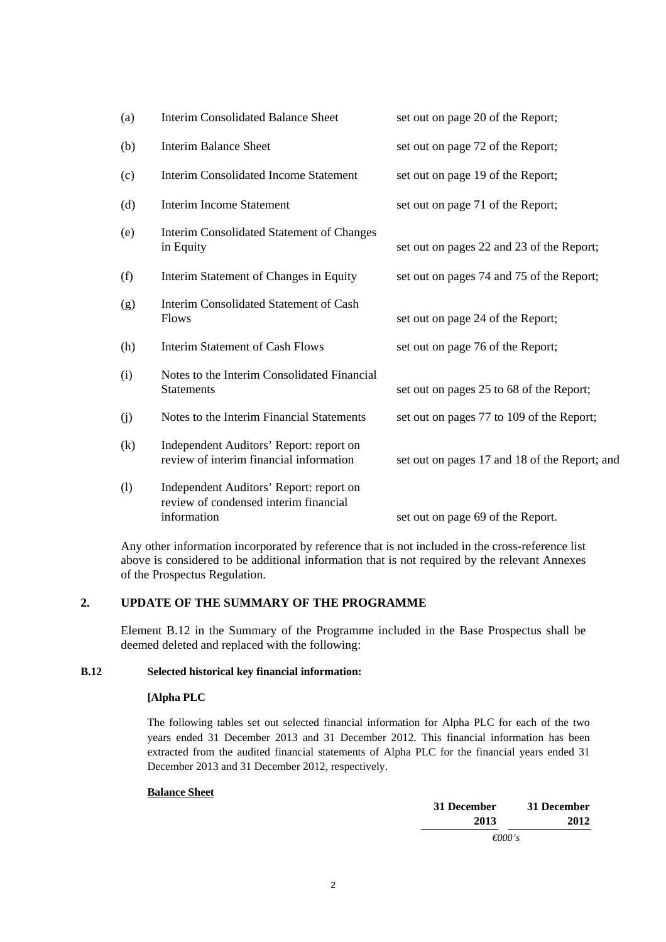| (a) | <b>Interim Consolidated Balance Sheet</b>                                                       | set out on page 20 of the Report;             |
|-----|-------------------------------------------------------------------------------------------------|-----------------------------------------------|
| (b) | <b>Interim Balance Sheet</b>                                                                    | set out on page 72 of the Report;             |
| (c) | <b>Interim Consolidated Income Statement</b>                                                    | set out on page 19 of the Report;             |
| (d) | <b>Interim Income Statement</b>                                                                 | set out on page 71 of the Report;             |
| (e) | <b>Interim Consolidated Statement of Changes</b><br>in Equity                                   | set out on pages 22 and 23 of the Report;     |
| (f) | Interim Statement of Changes in Equity                                                          | set out on pages 74 and 75 of the Report;     |
| (g) | Interim Consolidated Statement of Cash<br>Flows                                                 | set out on page 24 of the Report;             |
| (h) | <b>Interim Statement of Cash Flows</b>                                                          | set out on page 76 of the Report;             |
| (i) | Notes to the Interim Consolidated Financial<br><b>Statements</b>                                | set out on pages 25 to 68 of the Report;      |
| (j) | Notes to the Interim Financial Statements                                                       | set out on pages 77 to 109 of the Report;     |
| (k) | Independent Auditors' Report: report on<br>review of interim financial information              | set out on pages 17 and 18 of the Report; and |
| (1) | Independent Auditors' Report: report on<br>review of condensed interim financial<br>information | set out on page 69 of the Report.             |

Any other information incorporated by reference that is not included in the cross-reference list above is considered to be additional information that is not required by the relevant Annexes of the Prospectus Regulation.

# **2. UPDATE OF THE SUMMARY OF THE PROGRAMME**

Element B.12 in the Summary of the Programme included in the Base Prospectus shall be deemed deleted and replaced with the following:

# **B.12 Selected historical key financial information:**

## **[Alpha PLC**

 The following tables set out selected financial information for Alpha PLC for each of the two years ended 31 December 2013 and 31 December 2012. This financial information has been extracted from the audited financial statements of Alpha PLC for the financial years ended 31 December 2013 and 31 December 2012, respectively.

## **Balance Sheet**

| 31 December | 31 December      |
|-------------|------------------|
| 2012        | 2013             |
|             | $\epsilon$ 000's |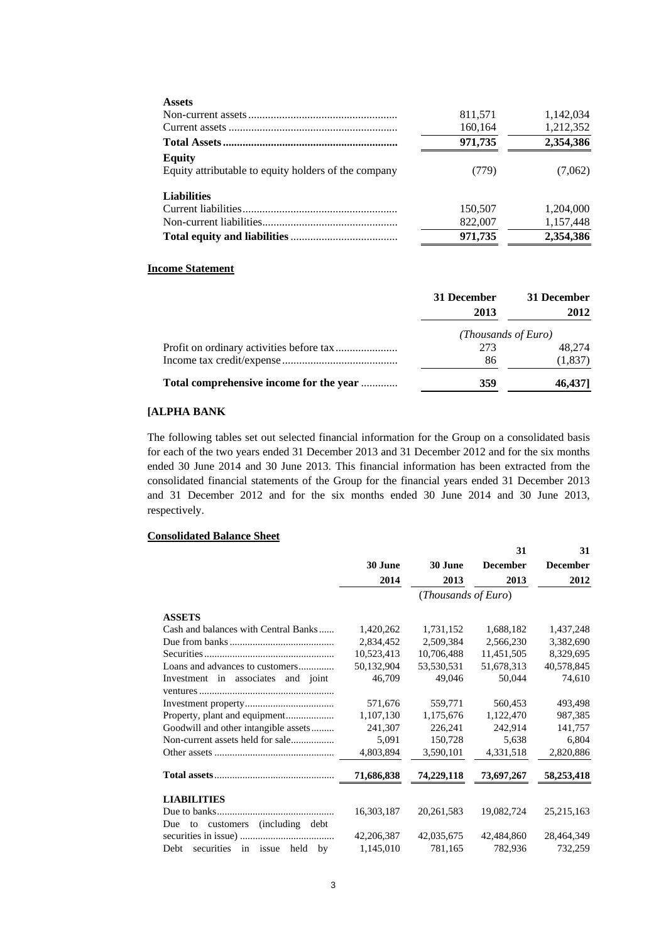| <b>Assets</b>                                        |         |           |
|------------------------------------------------------|---------|-----------|
|                                                      | 811,571 | 1,142,034 |
|                                                      | 160,164 | 1,212,352 |
|                                                      | 971,735 | 2,354,386 |
| <b>Equity</b>                                        |         |           |
| Equity attributable to equity holders of the company | (779)   | (7,062)   |
| <b>Liabilities</b>                                   |         |           |
|                                                      | 150,507 | 1,204,000 |
|                                                      | 822,007 | 1,157,448 |
|                                                      | 971,735 | 2,354,386 |
|                                                      |         |           |

## **Income Statement**

|                                         | 31 December | 31 December         |
|-----------------------------------------|-------------|---------------------|
|                                         | 2013        | 2012                |
|                                         |             | (Thousands of Euro) |
|                                         | 273         | 48.274              |
|                                         | 86          | (1, 837)            |
| Total comprehensive income for the year | 359         | 46,4371             |

# **[ALPHA BANK**

 The following tables set out selected financial information for the Group on a consolidated basis for each of the two years ended 31 December 2013 and 31 December 2012 and for the six months ended 30 June 2014 and 30 June 2013. This financial information has been extracted from the consolidated financial statements of the Group for the financial years ended 31 December 2013 and 31 December 2012 and for the six months ended 30 June 2014 and 30 June 2013, respectively.

## **Consolidated Balance Sheet**

|                                      |            |                     | 31              | 31              |
|--------------------------------------|------------|---------------------|-----------------|-----------------|
|                                      | 30 June    | 30 June             | <b>December</b> | <b>December</b> |
|                                      | 2014       | 2013                | 2013            | 2012            |
|                                      |            | (Thousands of Euro) |                 |                 |
| <b>ASSETS</b>                        |            |                     |                 |                 |
| Cash and balances with Central Banks | 1,420,262  | 1,731,152           | 1,688,182       | 1,437,248       |
|                                      | 2,834,452  | 2,509,384           | 2,566,230       | 3,382,690       |
|                                      | 10,523,413 | 10,706,488          | 11,451,505      | 8,329,695       |
| Loans and advances to customers      | 50,132,904 | 53,530,531          | 51,678,313      | 40,578,845      |
| Investment in associates and joint   | 46,709     | 49,046              | 50,044          | 74,610          |
|                                      |            |                     |                 |                 |
|                                      | 571,676    | 559,771             | 560,453         | 493,498         |
| Property, plant and equipment        | 1,107,130  | 1,175,676           | 1,122,470       | 987,385         |
| Goodwill and other intangible assets | 241,307    | 226,241             | 242,914         | 141,757         |
|                                      | 5,091      | 150,728             | 5,638           | 6,804           |
|                                      | 4,803,894  | 3,590,101           | 4,331,518       | 2,820,886       |
|                                      | 71,686,838 | 74,229,118          | 73,697,267      | 58,253,418      |
| <b>LIABILITIES</b>                   |            |                     |                 |                 |
|                                      | 16,303,187 | 20, 261, 583        | 19,082,724      | 25, 215, 163    |
| (including debt)<br>Due to customers |            |                     |                 |                 |
|                                      | 42,206,387 | 42,035,675          | 42,484,860      | 28,464,349      |
| Debt securities in issue held by     | 1,145,010  | 781,165             | 782,936         | 732,259         |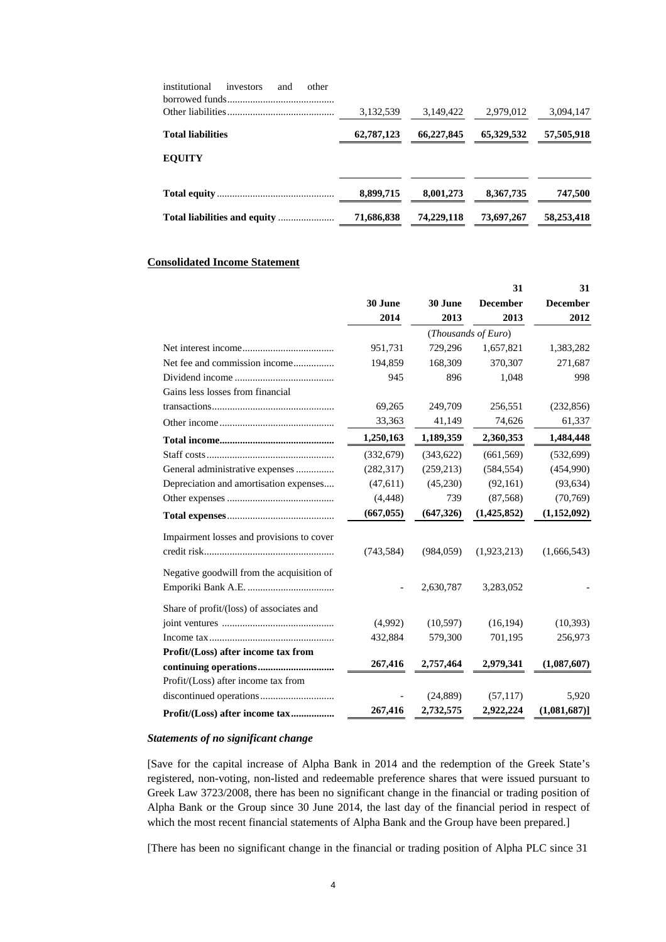| institutional<br>other<br>investors<br>and | 3,132,539  | 3.149.422  | 2,979,012  | 3,094,147  |
|--------------------------------------------|------------|------------|------------|------------|
| <b>Total liabilities</b>                   | 62,787,123 | 66,227,845 | 65,329,532 | 57,505,918 |
| <b>EQUITY</b>                              |            |            |            |            |
|                                            | 8,899,715  | 8.001.273  | 8,367,735  | 747,500    |
|                                            | 71,686,838 | 74,229,118 | 73,697,267 | 58,253,418 |

## **Consolidated Income Statement**

|                                           |            |            | 31                  | 31              |
|-------------------------------------------|------------|------------|---------------------|-----------------|
|                                           | 30 June    | 30 June    | <b>December</b>     | <b>December</b> |
|                                           | 2014       | 2013       | 2013                | 2012            |
|                                           |            |            | (Thousands of Euro) |                 |
|                                           | 951,731    | 729,296    | 1,657,821           | 1,383,282       |
| Net fee and commission income             | 194,859    | 168,309    | 370,307             | 271,687         |
|                                           | 945        | 896        | 1,048               | 998             |
| Gains less losses from financial          |            |            |                     |                 |
|                                           | 69,265     | 249,709    | 256,551             | (232, 856)      |
|                                           | 33,363     | 41,149     | 74,626              | 61,337          |
|                                           | 1,250,163  | 1,189,359  | 2,360,353           | 1,484,448       |
|                                           | (332, 679) | (343, 622) | (661, 569)          | (532, 699)      |
| General administrative expenses           | (282, 317) | (259, 213) | (584, 554)          | (454,990)       |
| Depreciation and amortisation expenses    | (47, 611)  | (45,230)   | (92, 161)           | (93, 634)       |
|                                           | (4, 448)   | 739        | (87, 568)           | (70, 769)       |
|                                           | (667, 055) | (647, 326) | (1,425,852)         | (1,152,092)     |
| Impairment losses and provisions to cover |            |            |                     |                 |
|                                           | (743, 584) | (984, 059) | (1,923,213)         | (1,666,543)     |
|                                           |            |            |                     |                 |
| Negative goodwill from the acquisition of |            |            |                     |                 |
|                                           |            | 2,630,787  | 3,283,052           |                 |
| Share of profit/(loss) of associates and  |            |            |                     |                 |
|                                           | (4,992)    | (10, 597)  | (16, 194)           | (10, 393)       |
|                                           | 432,884    | 579,300    | 701,195             | 256,973         |
| Profit/(Loss) after income tax from       |            |            |                     |                 |
|                                           | 267,416    | 2,757,464  | 2,979,341           | (1,087,607)     |
| Profit/(Loss) after income tax from       |            |            |                     |                 |
|                                           |            | (24, 889)  | (57, 117)           | 5,920           |
| Profit/(Loss) after income tax            | 267,416    | 2,732,575  | 2,922,224           | (1,081,687)     |

#### *Statements of no significant change*

 [Save for the capital increase of Alpha Bank in 2014 and the redemption of the Greek State's registered, non-voting, non-listed and redeemable preference shares that were issued pursuant to Greek Law 3723/2008, there has been no significant change in the financial or trading position of Alpha Bank or the Group since 30 June 2014, the last day of the financial period in respect of which the most recent financial statements of Alpha Bank and the Group have been prepared.]

[There has been no significant change in the financial or trading position of Alpha PLC since 31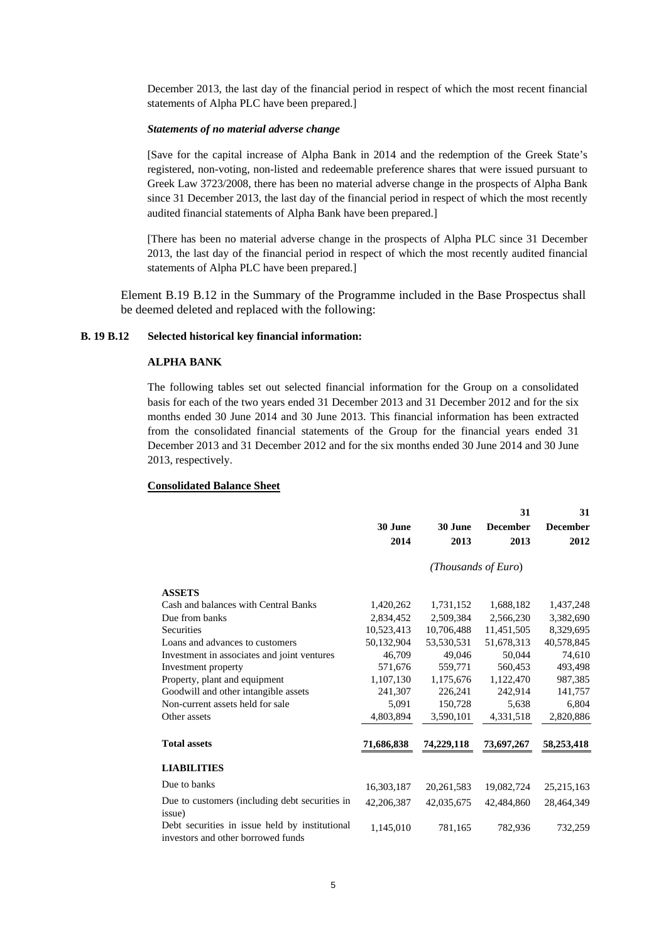December 2013, the last day of the financial period in respect of which the most recent financial statements of Alpha PLC have been prepared.]

#### *Statements of no material adverse change*

 [Save for the capital increase of Alpha Bank in 2014 and the redemption of the Greek State's registered, non-voting, non-listed and redeemable preference shares that were issued pursuant to Greek Law 3723/2008, there has been no material adverse change in the prospects of Alpha Bank since 31 December 2013, the last day of the financial period in respect of which the most recently audited financial statements of Alpha Bank have been prepared.]

 [There has been no material adverse change in the prospects of Alpha PLC since 31 December 2013, the last day of the financial period in respect of which the most recently audited financial statements of Alpha PLC have been prepared.]

Element B.19 B.12 in the Summary of the Programme included in the Base Prospectus shall be deemed deleted and replaced with the following:

#### **B. 19 B.12 Selected historical key financial information:**

# **ALPHA BANK**

The following tables set out selected financial information for the Group on a consolidated basis for each of the two years ended 31 December 2013 and 31 December 2012 and for the six months ended 30 June 2014 and 30 June 2013. This financial information has been extracted from the consolidated financial statements of the Group for the financial years ended 31 December 2013 and 31 December 2012 and for the six months ended 30 June 2014 and 30 June 2013, respectively.

#### **Consolidated Balance Sheet**

|                     |                                                                                      |            |              | 31                  | 31              |
|---------------------|--------------------------------------------------------------------------------------|------------|--------------|---------------------|-----------------|
|                     |                                                                                      | 30 June    | 30 June      | <b>December</b>     | <b>December</b> |
|                     |                                                                                      | 2014       | 2013         | 2013                | 2012            |
|                     |                                                                                      |            |              | (Thousands of Euro) |                 |
| <b>ASSETS</b>       |                                                                                      |            |              |                     |                 |
|                     | Cash and balances with Central Banks                                                 | 1,420,262  | 1,731,152    | 1,688,182           | 1,437,248       |
| Due from banks      |                                                                                      | 2,834,452  | 2,509,384    | 2,566,230           | 3,382,690       |
| Securities          |                                                                                      | 10,523,413 | 10,706,488   | 11,451,505          | 8,329,695       |
|                     | Loans and advances to customers                                                      | 50,132,904 | 53,530,531   | 51,678,313          | 40,578,845      |
|                     | Investment in associates and joint ventures                                          | 46,709     | 49,046       | 50,044              | 74,610          |
|                     | Investment property                                                                  | 571,676    | 559,771      | 560,453             | 493,498         |
|                     | Property, plant and equipment                                                        | 1,107,130  | 1,175,676    | 1,122,470           | 987,385         |
|                     | Goodwill and other intangible assets                                                 | 241,307    | 226,241      | 242,914             | 141,757         |
|                     | Non-current assets held for sale                                                     | 5,091      | 150,728      | 5,638               | 6,804           |
| Other assets        |                                                                                      | 4,803,894  | 3,590,101    | 4,331,518           | 2,820,886       |
| <b>Total assets</b> |                                                                                      | 71,686,838 | 74,229,118   | 73,697,267          | 58,253,418      |
| <b>LIABILITIES</b>  |                                                                                      |            |              |                     |                 |
| Due to banks        |                                                                                      | 16,303,187 | 20, 261, 583 | 19,082,724          | 25,215,163      |
| issue)              | Due to customers (including debt securities in                                       | 42,206,387 | 42,035,675   | 42,484,860          | 28,464,349      |
|                     | Debt securities in issue held by institutional<br>investors and other borrowed funds | 1,145,010  | 781,165      | 782,936             | 732,259         |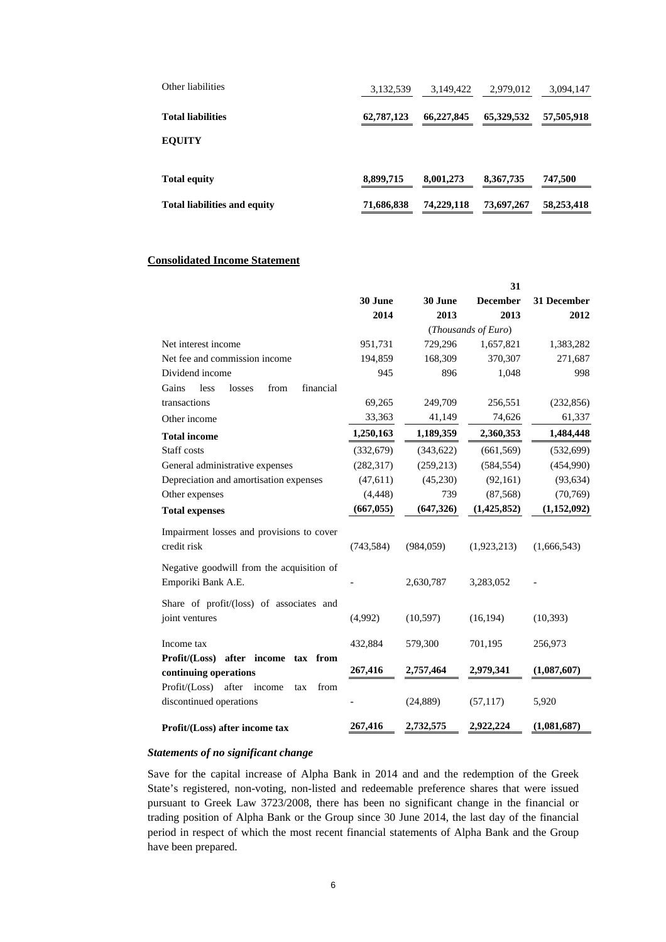| Other liabilities                   | 3,132,539  | 3,149,422  | 2,979,012   | 3,094,147  |
|-------------------------------------|------------|------------|-------------|------------|
| <b>Total liabilities</b>            | 62,787,123 | 66,227,845 | 65,329,532  | 57,505,918 |
| <b>EQUITY</b>                       |            |            |             |            |
| <b>Total equity</b>                 | 8,899,715  | 8,001,273  | 8, 367, 735 | 747,500    |
| <b>Total liabilities and equity</b> | 71,686,838 | 74,229,118 | 73,697,267  | 58,253,418 |

#### **Consolidated Income Statement**

|                                                |            |            | 31                  |             |
|------------------------------------------------|------------|------------|---------------------|-------------|
|                                                | 30 June    | 30 June    | <b>December</b>     | 31 December |
|                                                | 2014       | 2013       | 2013                | 2012        |
|                                                |            |            | (Thousands of Euro) |             |
| Net interest income                            | 951,731    | 729,296    | 1,657,821           | 1,383,282   |
| Net fee and commission income                  | 194,859    | 168,309    | 370,307             | 271,687     |
| Dividend income                                | 945        | 896        | 1,048               | 998         |
| Gains<br>financial<br>less<br>losses<br>from   |            |            |                     |             |
| transactions                                   | 69,265     | 249,709    | 256,551             | (232, 856)  |
| Other income                                   | 33,363     | 41,149     | 74,626              | 61,337      |
| <b>Total income</b>                            | 1,250,163  | 1,189,359  | 2,360,353           | 1,484,448   |
| Staff costs                                    | (332,679)  | (343, 622) | (661, 569)          | (532,699)   |
| General administrative expenses                | (282, 317) | (259, 213) | (584, 554)          | (454,990)   |
| Depreciation and amortisation expenses         | (47,611)   | (45,230)   | (92, 161)           | (93, 634)   |
| Other expenses                                 | (4, 448)   | 739        | (87, 568)           | (70, 769)   |
| <b>Total expenses</b>                          | (667, 055) | (647, 326) | (1, 425, 852)       | (1,152,092) |
| Impairment losses and provisions to cover      |            |            |                     |             |
| credit risk                                    | (743, 584) | (984, 059) | (1,923,213)         | (1,666,543) |
| Negative goodwill from the acquisition of      |            |            |                     |             |
| Emporiki Bank A.E.                             |            | 2,630,787  | 3,283,052           |             |
| Share of profit/(loss) of associates and       |            |            |                     |             |
| joint ventures                                 | (4,992)    | (10, 597)  | (16, 194)           | (10, 393)   |
| Income tax                                     | 432,884    | 579,300    | 701,195             | 256,973     |
| Profit/(Loss) after income tax from            |            |            |                     |             |
| continuing operations                          | 267,416    | 2,757,464  | 2,979,341           | (1,087,607) |
| Profit / (Loss)<br>after income<br>from<br>tax |            |            |                     |             |
| discontinued operations                        |            | (24, 889)  | (57, 117)           | 5,920       |
| Profit/(Loss) after income tax                 | 267,416    | 2,732,575  | 2,922,224           | (1,081,687) |

#### *Statements of no significant change*

Save for the capital increase of Alpha Bank in 2014 and and the redemption of the Greek State's registered, non-voting, non-listed and redeemable preference shares that were issued pursuant to Greek Law 3723/2008, there has been no significant change in the financial or trading position of Alpha Bank or the Group since 30 June 2014, the last day of the financial period in respect of which the most recent financial statements of Alpha Bank and the Group have been prepared.